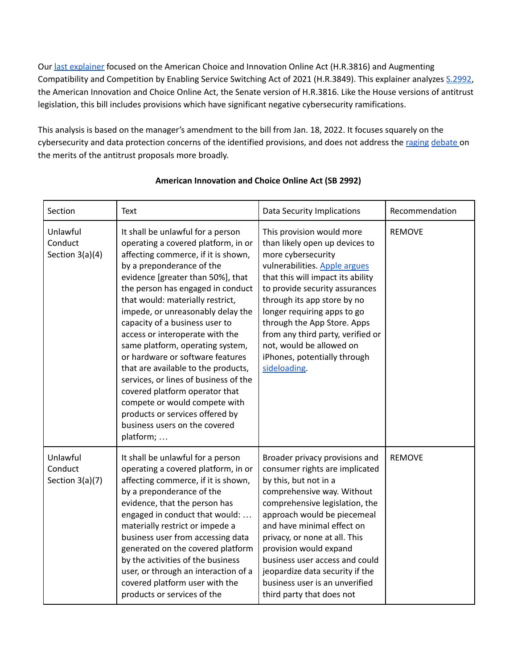Our last [explainer](https://www.rstreet.org/2021/11/13/security-in-antitrust-implications-of-two-house-bills/) focused on the American Choice and Innovation Online Act (H.R.3816) and Augmenting Compatibility and Competition by Enabling Service Switching Act of 2021 (H.R.3849). This explainer analyzes [S.2992,](https://www.congress.gov/bill/117th-congress/senate-bill/2992/text?q=%7B%22search%22%3A%5B%222992%22%2C%222992%22%5D%7D&r=7&s=1) the American Innovation and Choice Online Act, the Senate version of H.R.3816. Like the House versions of antitrust legislation, this bill includes provisions which have significant negative cybersecurity ramifications.

This analysis is based on the manager's amendment to the bill from Jan. 18, 2022. It focuses squarely on the cybersecurity and data protection concerns of the identified provisions, and does not address the [raging](https://www.washingtonpost.com/technology/2021/06/24/tech-antitrust-bills-pass-house-committee/) [debate](https://www.ftc.gov/system/files/documents/public_statements/1583714/slaughter_remarks_at_gcr_interactive_women_in_antitrust.pdf) on the merits of the antitrust proposals more broadly.

| Section                                  | Text                                                                                                                                                                                                                                                                                                                                                                                                                                                                                                                                                                                                                                                                             | <b>Data Security Implications</b>                                                                                                                                                                                                                                                                                                                                                                                     | Recommendation |
|------------------------------------------|----------------------------------------------------------------------------------------------------------------------------------------------------------------------------------------------------------------------------------------------------------------------------------------------------------------------------------------------------------------------------------------------------------------------------------------------------------------------------------------------------------------------------------------------------------------------------------------------------------------------------------------------------------------------------------|-----------------------------------------------------------------------------------------------------------------------------------------------------------------------------------------------------------------------------------------------------------------------------------------------------------------------------------------------------------------------------------------------------------------------|----------------|
| Unlawful<br>Conduct<br>Section $3(a)(4)$ | It shall be unlawful for a person<br>operating a covered platform, in or<br>affecting commerce, if it is shown,<br>by a preponderance of the<br>evidence [greater than 50%], that<br>the person has engaged in conduct<br>that would: materially restrict,<br>impede, or unreasonably delay the<br>capacity of a business user to<br>access or interoperate with the<br>same platform, operating system,<br>or hardware or software features<br>that are available to the products,<br>services, or lines of business of the<br>covered platform operator that<br>compete or would compete with<br>products or services offered by<br>business users on the covered<br>platform; | This provision would more<br>than likely open up devices to<br>more cybersecurity<br>vulnerabilities. Apple argues<br>that this will impact its ability<br>to provide security assurances<br>through its app store by no<br>longer requiring apps to go<br>through the App Store. Apps<br>from any third party, verified or<br>not, would be allowed on<br>iPhones, potentially through<br>sideloading.               | <b>REMOVE</b>  |
| Unlawful<br>Conduct<br>Section 3(a)(7)   | It shall be unlawful for a person<br>operating a covered platform, in or<br>affecting commerce, if it is shown,<br>by a preponderance of the<br>evidence, that the person has<br>engaged in conduct that would:<br>materially restrict or impede a<br>business user from accessing data<br>generated on the covered platform<br>by the activities of the business<br>user, or through an interaction of a<br>covered platform user with the<br>products or services of the                                                                                                                                                                                                       | Broader privacy provisions and<br>consumer rights are implicated<br>by this, but not in a<br>comprehensive way. Without<br>comprehensive legislation, the<br>approach would be piecemeal<br>and have minimal effect on<br>privacy, or none at all. This<br>provision would expand<br>business user access and could<br>jeopardize data security if the<br>business user is an unverified<br>third party that does not | <b>REMOVE</b>  |

## **American Innovation and Choice Online Act (SB 2992)**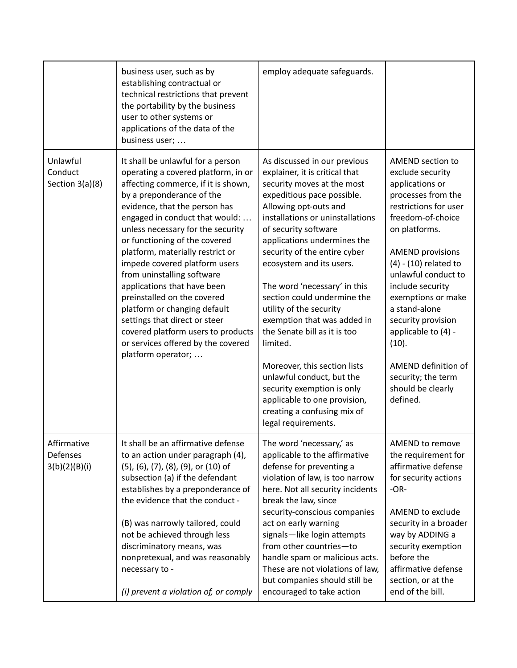|                                          | business user, such as by<br>establishing contractual or<br>technical restrictions that prevent<br>the portability by the business<br>user to other systems or<br>applications of the data of the<br>business user;                                                                                                                                                                                                                                                                                                                                                                                                       | employ adequate safeguards.                                                                                                                                                                                                                                                                                                                                                                                                                                                                                                                                                                                                                                      |                                                                                                                                                                                                                                                                                                                                                                                                                            |
|------------------------------------------|---------------------------------------------------------------------------------------------------------------------------------------------------------------------------------------------------------------------------------------------------------------------------------------------------------------------------------------------------------------------------------------------------------------------------------------------------------------------------------------------------------------------------------------------------------------------------------------------------------------------------|------------------------------------------------------------------------------------------------------------------------------------------------------------------------------------------------------------------------------------------------------------------------------------------------------------------------------------------------------------------------------------------------------------------------------------------------------------------------------------------------------------------------------------------------------------------------------------------------------------------------------------------------------------------|----------------------------------------------------------------------------------------------------------------------------------------------------------------------------------------------------------------------------------------------------------------------------------------------------------------------------------------------------------------------------------------------------------------------------|
| Unlawful<br>Conduct<br>Section 3(a)(8)   | It shall be unlawful for a person<br>operating a covered platform, in or<br>affecting commerce, if it is shown,<br>by a preponderance of the<br>evidence, that the person has<br>engaged in conduct that would:<br>unless necessary for the security<br>or functioning of the covered<br>platform, materially restrict or<br>impede covered platform users<br>from uninstalling software<br>applications that have been<br>preinstalled on the covered<br>platform or changing default<br>settings that direct or steer<br>covered platform users to products<br>or services offered by the covered<br>platform operator; | As discussed in our previous<br>explainer, it is critical that<br>security moves at the most<br>expeditious pace possible.<br>Allowing opt-outs and<br>installations or uninstallations<br>of security software<br>applications undermines the<br>security of the entire cyber<br>ecosystem and its users.<br>The word 'necessary' in this<br>section could undermine the<br>utility of the security<br>exemption that was added in<br>the Senate bill as it is too<br>limited.<br>Moreover, this section lists<br>unlawful conduct, but the<br>security exemption is only<br>applicable to one provision,<br>creating a confusing mix of<br>legal requirements. | AMEND section to<br>exclude security<br>applications or<br>processes from the<br>restrictions for user<br>freedom-of-choice<br>on platforms.<br><b>AMEND provisions</b><br>$(4)$ - $(10)$ related to<br>unlawful conduct to<br>include security<br>exemptions or make<br>a stand-alone<br>security provision<br>applicable to (4) -<br>(10).<br>AMEND definition of<br>security; the term<br>should be clearly<br>defined. |
| Affirmative<br>Defenses<br>3(b)(2)(B)(i) | It shall be an affirmative defense<br>to an action under paragraph (4),<br>(5), (6), (7), (8), (9), or (10) of<br>subsection (a) if the defendant<br>establishes by a preponderance of<br>the evidence that the conduct -<br>(B) was narrowly tailored, could<br>not be achieved through less<br>discriminatory means, was<br>nonpretexual, and was reasonably<br>necessary to -<br>(i) prevent a violation of, or comply                                                                                                                                                                                                 | The word 'necessary,' as<br>applicable to the affirmative<br>defense for preventing a<br>violation of law, is too narrow<br>here. Not all security incidents<br>break the law, since<br>security-conscious companies<br>act on early warning<br>signals-like login attempts<br>from other countries-to<br>handle spam or malicious acts.<br>These are not violations of law,<br>but companies should still be<br>encouraged to take action                                                                                                                                                                                                                       | AMEND to remove<br>the requirement for<br>affirmative defense<br>for security actions<br>$-OR-$<br>AMEND to exclude<br>security in a broader<br>way by ADDING a<br>security exemption<br>before the<br>affirmative defense<br>section, or at the<br>end of the bill.                                                                                                                                                       |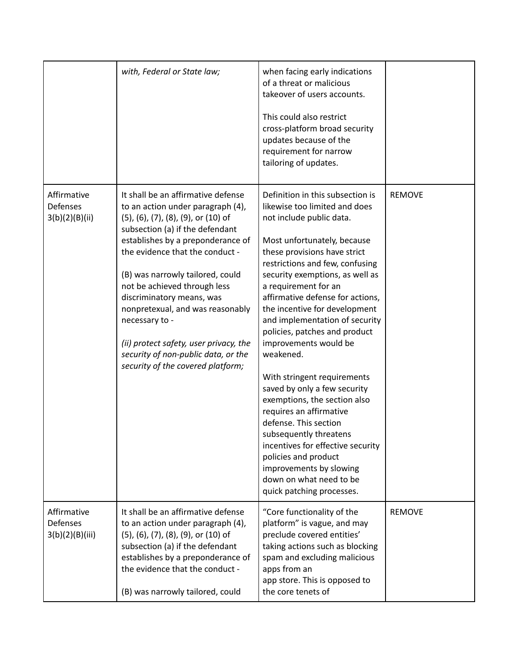|                                            | with, Federal or State law;                                                                                                                                                                                                                                                                                                                                                                                                                                                                            | when facing early indications<br>of a threat or malicious<br>takeover of users accounts.<br>This could also restrict<br>cross-platform broad security<br>updates because of the<br>requirement for narrow<br>tailoring of updates.                                                                                                                                                                                                                                                                                                                                                                                                                                                                                                                                    |               |
|--------------------------------------------|--------------------------------------------------------------------------------------------------------------------------------------------------------------------------------------------------------------------------------------------------------------------------------------------------------------------------------------------------------------------------------------------------------------------------------------------------------------------------------------------------------|-----------------------------------------------------------------------------------------------------------------------------------------------------------------------------------------------------------------------------------------------------------------------------------------------------------------------------------------------------------------------------------------------------------------------------------------------------------------------------------------------------------------------------------------------------------------------------------------------------------------------------------------------------------------------------------------------------------------------------------------------------------------------|---------------|
| Affirmative<br>Defenses<br>3(b)(2)(B)(ii)  | It shall be an affirmative defense<br>to an action under paragraph (4),<br>(5), (6), (7), (8), (9), or (10) of<br>subsection (a) if the defendant<br>establishes by a preponderance of<br>the evidence that the conduct -<br>(B) was narrowly tailored, could<br>not be achieved through less<br>discriminatory means, was<br>nonpretexual, and was reasonably<br>necessary to -<br>(ii) protect safety, user privacy, the<br>security of non-public data, or the<br>security of the covered platform; | Definition in this subsection is<br>likewise too limited and does<br>not include public data.<br>Most unfortunately, because<br>these provisions have strict<br>restrictions and few, confusing<br>security exemptions, as well as<br>a requirement for an<br>affirmative defense for actions,<br>the incentive for development<br>and implementation of security<br>policies, patches and product<br>improvements would be<br>weakened.<br>With stringent requirements<br>saved by only a few security<br>exemptions, the section also<br>requires an affirmative<br>defense. This section<br>subsequently threatens<br>incentives for effective security<br>policies and product<br>improvements by slowing<br>down on what need to be<br>quick patching processes. | <b>REMOVE</b> |
| Affirmative<br>Defenses<br>3(b)(2)(B)(iii) | It shall be an affirmative defense<br>to an action under paragraph (4),<br>(5), (6), (7), (8), (9), or (10) of<br>subsection (a) if the defendant<br>establishes by a preponderance of<br>the evidence that the conduct -<br>(B) was narrowly tailored, could                                                                                                                                                                                                                                          | "Core functionality of the<br>platform" is vague, and may<br>preclude covered entities'<br>taking actions such as blocking<br>spam and excluding malicious<br>apps from an<br>app store. This is opposed to<br>the core tenets of                                                                                                                                                                                                                                                                                                                                                                                                                                                                                                                                     | <b>REMOVE</b> |